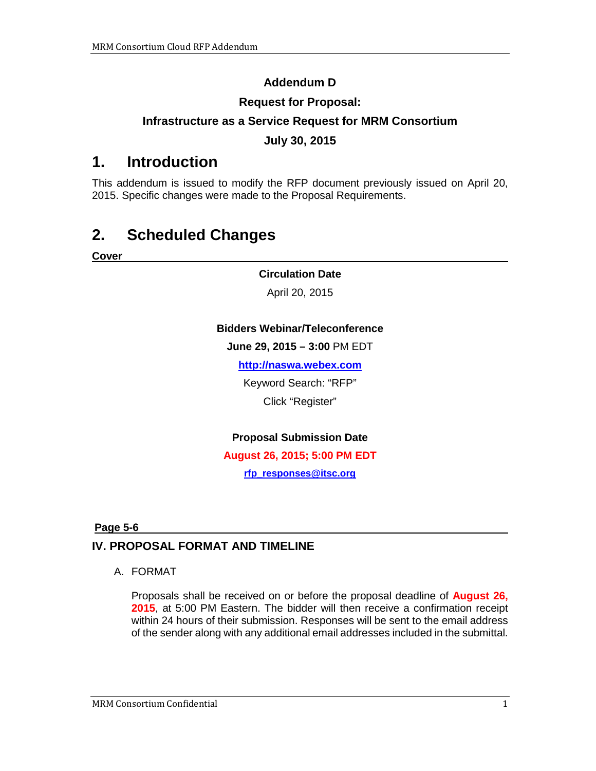## **Addendum D**

### **Request for Proposal:**

## **Infrastructure as a Service Request for MRM Consortium**

### **July 30, 2015**

# **1. Introduction**

This addendum is issued to modify the RFP document previously issued on April 20, 2015. Specific changes were made to the Proposal Requirements.

# **2. Scheduled Changes**

**Cover**

#### **Circulation Date**

April 20, 2015

#### **Bidders Webinar/Teleconference**

**June 29, 2015 – 3:00** PM EDT

**[http://naswa.webex.com](http://naswa.webex.com/)**

Keyword Search: "RFP"

Click "Register"

#### **Proposal Submission Date**

**August 26, 2015; 5:00 PM EDT**

**[rfp\\_responses@itsc.org](mailto:rfp_responses@itsc.org)**

#### **Page 5-6**

## **IV. PROPOSAL FORMAT AND TIMELINE**

#### A. FORMAT

Proposals shall be received on or before the proposal deadline of **August 26, 2015**, at 5:00 PM Eastern. The bidder will then receive a confirmation receipt within 24 hours of their submission. Responses will be sent to the email address of the sender along with any additional email addresses included in the submittal.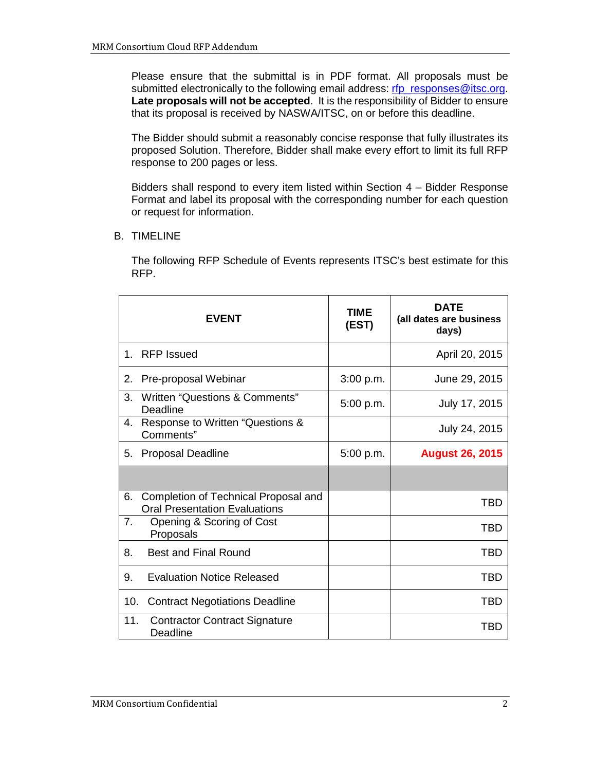Please ensure that the submittal is in PDF format. All proposals must be submitted electronically to the following email address: [rfp\\_responses@itsc.org.](mailto:rfp_responses@itsc.org) **Late proposals will not be accepted**. It is the responsibility of Bidder to ensure that its proposal is received by NASWA/ITSC, on or before this deadline.

The Bidder should submit a reasonably concise response that fully illustrates its proposed Solution. Therefore, Bidder shall make every effort to limit its full RFP response to 200 pages or less.

Bidders shall respond to every item listed within Section 4 – Bidder Response Format and label its proposal with the corresponding number for each question or request for information.

B. TIMELINE

The following RFP Schedule of Events represents ITSC's best estimate for this RFP.

| <b>EVENT</b>                                                                       | TIME<br>(EST) | <b>DATE</b><br>(all dates are business<br>days) |
|------------------------------------------------------------------------------------|---------------|-------------------------------------------------|
| 1. RFP Issued                                                                      |               | April 20, 2015                                  |
| Pre-proposal Webinar<br>2.                                                         | 3:00 p.m.     | June 29, 2015                                   |
| Written "Questions & Comments"<br>3.<br>Deadline                                   | 5:00 p.m.     | July 17, 2015                                   |
| Response to Written "Questions &<br>4.<br>Comments"                                |               | July 24, 2015                                   |
| <b>Proposal Deadline</b><br>5.                                                     | 5:00 p.m.     | <b>August 26, 2015</b>                          |
|                                                                                    |               |                                                 |
| Completion of Technical Proposal and<br>6.<br><b>Oral Presentation Evaluations</b> |               | TBD                                             |
| 7.<br>Opening & Scoring of Cost<br>Proposals                                       |               | <b>TBD</b>                                      |
| <b>Best and Final Round</b><br>8.                                                  |               | <b>TBD</b>                                      |
| <b>Evaluation Notice Released</b><br>9.                                            |               | <b>TBD</b>                                      |
| 10.<br><b>Contract Negotiations Deadline</b>                                       |               | TBD                                             |
| 11.<br><b>Contractor Contract Signature</b><br>Deadline                            |               | TBD                                             |